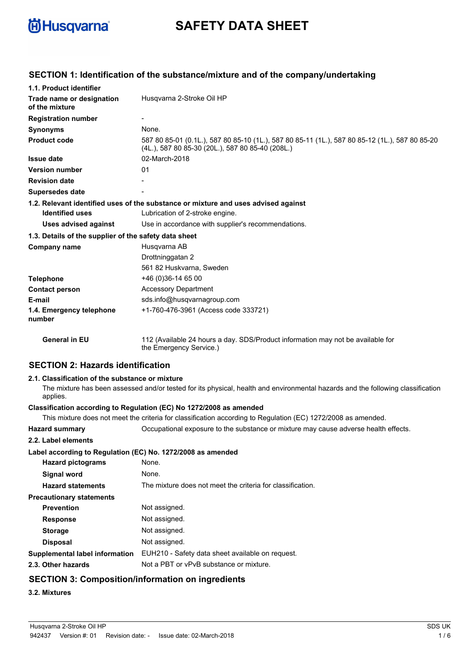

# **SAFETY DATA SHEET**

| 1.1. Product identifier                               |                                                                                                                                                    |
|-------------------------------------------------------|----------------------------------------------------------------------------------------------------------------------------------------------------|
| Trade name or designation<br>of the mixture           | Husgvarna 2-Stroke Oil HP                                                                                                                          |
| <b>Registration number</b>                            |                                                                                                                                                    |
| <b>Synonyms</b>                                       | None.                                                                                                                                              |
| <b>Product code</b>                                   | 587 80 85-01 (0.1L.), 587 80 85-10 (1L.), 587 80 85-11 (1L.), 587 80 85-12 (1L.), 587 80 85-20<br>(4L.), 587 80 85-30 (20L.), 587 80 85-40 (208L.) |
| <b>Issue date</b>                                     | 02-March-2018                                                                                                                                      |
| <b>Version number</b>                                 | 01                                                                                                                                                 |
| <b>Revision date</b>                                  |                                                                                                                                                    |
| <b>Supersedes date</b>                                |                                                                                                                                                    |
| <b>Identified uses</b>                                | 1.2. Relevant identified uses of the substance or mixture and uses advised against<br>Lubrication of 2-stroke engine.                              |
| <b>Uses advised against</b>                           | Use in accordance with supplier's recommendations.                                                                                                 |
| 1.3. Details of the supplier of the safety data sheet |                                                                                                                                                    |
| Company name                                          | Husgvarna AB                                                                                                                                       |
|                                                       | Drottninggatan 2                                                                                                                                   |
|                                                       | 561 82 Huskvarna, Sweden                                                                                                                           |
| <b>Telephone</b>                                      | +46 (0)36-14 65 00                                                                                                                                 |
| <b>Contact person</b>                                 | <b>Accessory Department</b>                                                                                                                        |
| E-mail                                                | sds.info@husqvarnagroup.com                                                                                                                        |
| 1.4. Emergency telephone<br>number                    | +1-760-476-3961 (Access code 333721)                                                                                                               |
| <b>General in EU</b>                                  | 112 (Available 24 hours a day. SDS/Product information may not be available for<br>the Emergency Service.)                                         |
|                                                       |                                                                                                                                                    |

# **SECTION 1: Identification of the substance/mixture and of the company/undertaking**

# **SECTION 2: Hazards identification**

### **2.1. Classification of the substance or mixture**

The mixture has been assessed and/or tested for its physical, health and environmental hazards and the following classification applies.

#### **Classification according to Regulation (EC) No 1272/2008 as amended**

This mixture does not meet the criteria for classification according to Regulation (EC) 1272/2008 as amended.

**Hazard summary** Occupational exposure to the substance or mixture may cause adverse health effects.

| <b>Hazard Summary</b>                                       | Occupational exposure to the substance of mixture may      |
|-------------------------------------------------------------|------------------------------------------------------------|
| 2.2. Label elements                                         |                                                            |
| Label according to Regulation (EC) No. 1272/2008 as amended |                                                            |
| <b>Hazard pictograms</b>                                    | None.                                                      |
| <b>Signal word</b>                                          | None.                                                      |
| <b>Hazard statements</b>                                    | The mixture does not meet the criteria for classification. |
| <b>Precautionary statements</b>                             |                                                            |
| <b>Prevention</b>                                           | Not assigned.                                              |
| <b>Response</b>                                             | Not assigned.                                              |
| <b>Storage</b>                                              | Not assigned.                                              |
| <b>Disposal</b>                                             | Not assigned.                                              |
| Supplemental label information                              | EUH210 - Safety data sheet available on request.           |
| 2.3. Other hazards                                          | Not a PBT or vPvB substance or mixture.                    |
| <b>SECTION 3: Composition/information on ingredients</b>    |                                                            |
|                                                             |                                                            |

### **3.2. Mixtures**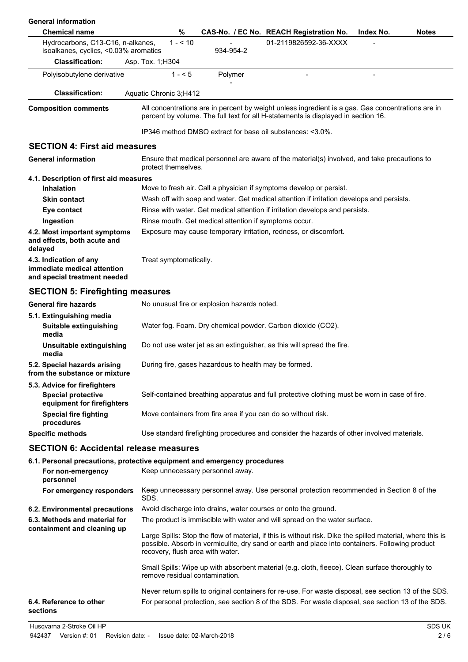| <b>General information</b>                                                                                 |                        |           |                                                       |                                                                                                 |                                                                                                                                                                                                               |
|------------------------------------------------------------------------------------------------------------|------------------------|-----------|-------------------------------------------------------|-------------------------------------------------------------------------------------------------|---------------------------------------------------------------------------------------------------------------------------------------------------------------------------------------------------------------|
| <b>Chemical name</b>                                                                                       |                        | %         |                                                       | CAS-No. / EC No. REACH Registration No.                                                         | <b>Notes</b><br>Index No.                                                                                                                                                                                     |
| Hydrocarbons, C13-C16, n-alkanes,<br>isoalkanes, cyclics, <0.03% aromatics                                 |                        | $1 - 510$ | 934-954-2                                             | 01-2119826592-36-XXXX                                                                           |                                                                                                                                                                                                               |
| <b>Classification:</b>                                                                                     | Asp. Tox. 1; H304      |           |                                                       |                                                                                                 |                                                                                                                                                                                                               |
| Polyisobutylene derivative                                                                                 |                        | $1 - 5$   | Polymer                                               |                                                                                                 |                                                                                                                                                                                                               |
| <b>Classification:</b>                                                                                     | Aquatic Chronic 3;H412 |           |                                                       |                                                                                                 |                                                                                                                                                                                                               |
| <b>Composition comments</b>                                                                                |                        |           |                                                       | percent by volume. The full text for all H-statements is displayed in section 16.               | All concentrations are in percent by weight unless ingredient is a gas. Gas concentrations are in                                                                                                             |
|                                                                                                            |                        |           |                                                       | IP346 method DMSO extract for base oil substances: <3.0%.                                       |                                                                                                                                                                                                               |
| <b>SECTION 4: First aid measures</b>                                                                       |                        |           |                                                       |                                                                                                 |                                                                                                                                                                                                               |
| <b>General information</b>                                                                                 | protect themselves.    |           |                                                       | Ensure that medical personnel are aware of the material(s) involved, and take precautions to    |                                                                                                                                                                                                               |
| 4.1. Description of first aid measures                                                                     |                        |           |                                                       |                                                                                                 |                                                                                                                                                                                                               |
| <b>Inhalation</b>                                                                                          |                        |           |                                                       | Move to fresh air. Call a physician if symptoms develop or persist.                             |                                                                                                                                                                                                               |
| <b>Skin contact</b>                                                                                        |                        |           |                                                       | Wash off with soap and water. Get medical attention if irritation develops and persists.        |                                                                                                                                                                                                               |
| Eye contact                                                                                                |                        |           |                                                       | Rinse with water. Get medical attention if irritation develops and persists.                    |                                                                                                                                                                                                               |
| Ingestion                                                                                                  |                        |           | Rinse mouth. Get medical attention if symptoms occur. |                                                                                                 |                                                                                                                                                                                                               |
| 4.2. Most important symptoms<br>and effects, both acute and<br>delayed                                     |                        |           |                                                       | Exposure may cause temporary irritation, redness, or discomfort.                                |                                                                                                                                                                                                               |
| 4.3. Indication of any<br>immediate medical attention<br>and special treatment needed                      | Treat symptomatically. |           |                                                       |                                                                                                 |                                                                                                                                                                                                               |
| <b>SECTION 5: Firefighting measures</b>                                                                    |                        |           |                                                       |                                                                                                 |                                                                                                                                                                                                               |
| <b>General fire hazards</b>                                                                                |                        |           | No unusual fire or explosion hazards noted.           |                                                                                                 |                                                                                                                                                                                                               |
| 5.1. Extinguishing media<br>Suitable extinguishing<br>media                                                |                        |           |                                                       | Water fog. Foam. Dry chemical powder. Carbon dioxide (CO2).                                     |                                                                                                                                                                                                               |
| Unsuitable extinguishing<br>media                                                                          |                        |           |                                                       | Do not use water jet as an extinguisher, as this will spread the fire.                          |                                                                                                                                                                                                               |
| 5.2. Special hazards arising<br>from the substance or mixture                                              |                        |           | During fire, gases hazardous to health may be formed. |                                                                                                 |                                                                                                                                                                                                               |
| 5.3. Advice for firefighters<br><b>Special protective</b><br>equipment for firefighters                    |                        |           |                                                       | Self-contained breathing apparatus and full protective clothing must be worn in case of fire.   |                                                                                                                                                                                                               |
| <b>Special fire fighting</b><br>procedures                                                                 |                        |           |                                                       | Move containers from fire area if you can do so without risk.                                   |                                                                                                                                                                                                               |
| <b>Specific methods</b>                                                                                    |                        |           |                                                       | Use standard firefighting procedures and consider the hazards of other involved materials.      |                                                                                                                                                                                                               |
| <b>SECTION 6: Accidental release measures</b>                                                              |                        |           |                                                       |                                                                                                 |                                                                                                                                                                                                               |
| 6.1. Personal precautions, protective equipment and emergency procedures<br>For non-emergency<br>personnel |                        |           | Keep unnecessary personnel away.                      |                                                                                                 |                                                                                                                                                                                                               |
| For emergency responders                                                                                   | SDS.                   |           |                                                       |                                                                                                 | Keep unnecessary personnel away. Use personal protection recommended in Section 8 of the                                                                                                                      |
| 6.2. Environmental precautions                                                                             |                        |           |                                                       | Avoid discharge into drains, water courses or onto the ground.                                  |                                                                                                                                                                                                               |
| 6.3. Methods and material for<br>containment and cleaning up                                               |                        |           |                                                       | The product is immiscible with water and will spread on the water surface.                      |                                                                                                                                                                                                               |
|                                                                                                            |                        |           | recovery, flush area with water.                      |                                                                                                 | Large Spills: Stop the flow of material, if this is without risk. Dike the spilled material, where this is<br>possible. Absorb in vermiculite, dry sand or earth and place into containers. Following product |
|                                                                                                            |                        |           | remove residual contamination.                        | Small Spills: Wipe up with absorbent material (e.g. cloth, fleece). Clean surface thoroughly to |                                                                                                                                                                                                               |
| 6.4. Reference to other<br>sections                                                                        |                        |           |                                                       |                                                                                                 | Never return spills to original containers for re-use. For waste disposal, see section 13 of the SDS.<br>For personal protection, see section 8 of the SDS. For waste disposal, see section 13 of the SDS.    |
| Husqvarna 2-Stroke Oil HP                                                                                  |                        |           |                                                       |                                                                                                 | SDS UK                                                                                                                                                                                                        |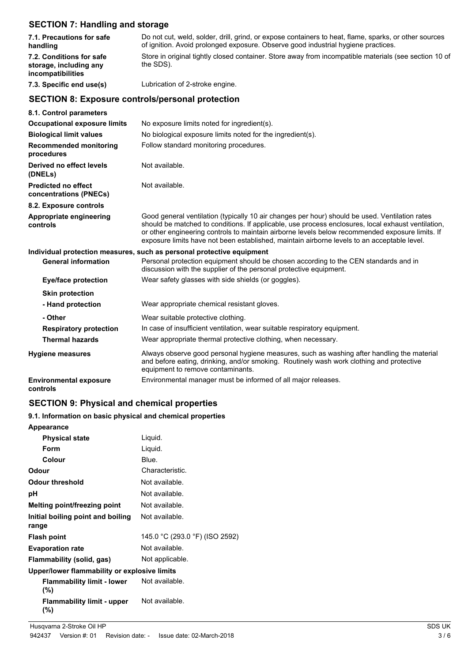# **SECTION 7: Handling and storage**

| 7.1. Precautions for safe<br>handling                                   | Do not cut, weld, solder, drill, grind, or expose containers to heat, flame, sparks, or other sources<br>of ignition. Avoid prolonged exposure. Observe good industrial hygiene practices.                                                                                                                                                                                                             |
|-------------------------------------------------------------------------|--------------------------------------------------------------------------------------------------------------------------------------------------------------------------------------------------------------------------------------------------------------------------------------------------------------------------------------------------------------------------------------------------------|
| 7.2. Conditions for safe<br>storage, including any<br>incompatibilities | Store in original tightly closed container. Store away from incompatible materials (see section 10 of<br>the SDS).                                                                                                                                                                                                                                                                                     |
| 7.3. Specific end use(s)                                                | Lubrication of 2-stroke engine.                                                                                                                                                                                                                                                                                                                                                                        |
| <b>SECTION 8: Exposure controls/personal protection</b>                 |                                                                                                                                                                                                                                                                                                                                                                                                        |
| 8.1. Control parameters                                                 |                                                                                                                                                                                                                                                                                                                                                                                                        |
| <b>Occupational exposure limits</b>                                     | No exposure limits noted for ingredient(s).                                                                                                                                                                                                                                                                                                                                                            |
| <b>Biological limit values</b>                                          | No biological exposure limits noted for the ingredient(s).                                                                                                                                                                                                                                                                                                                                             |
| <b>Recommended monitoring</b><br>procedures                             | Follow standard monitoring procedures.                                                                                                                                                                                                                                                                                                                                                                 |
| Derived no effect levels<br>(DNELs)                                     | Not available.                                                                                                                                                                                                                                                                                                                                                                                         |
| <b>Predicted no effect</b><br>concentrations (PNECs)                    | Not available.                                                                                                                                                                                                                                                                                                                                                                                         |
| 8.2. Exposure controls                                                  |                                                                                                                                                                                                                                                                                                                                                                                                        |
| Appropriate engineering<br>controls                                     | Good general ventilation (typically 10 air changes per hour) should be used. Ventilation rates<br>should be matched to conditions. If applicable, use process enclosures, local exhaust ventilation,<br>or other engineering controls to maintain airborne levels below recommended exposure limits. If<br>exposure limits have not been established, maintain airborne levels to an acceptable level. |
|                                                                         | Individual protection measures, such as personal protective equipment                                                                                                                                                                                                                                                                                                                                  |
| <b>General information</b>                                              | Personal protection equipment should be chosen according to the CEN standards and in<br>discussion with the supplier of the personal protective equipment.                                                                                                                                                                                                                                             |
| <b>Eye/face protection</b>                                              | Wear safety glasses with side shields (or goggles).                                                                                                                                                                                                                                                                                                                                                    |
| <b>Skin protection</b>                                                  |                                                                                                                                                                                                                                                                                                                                                                                                        |
| - Hand protection                                                       | Wear appropriate chemical resistant gloves.                                                                                                                                                                                                                                                                                                                                                            |
| - Other                                                                 | Wear suitable protective clothing.                                                                                                                                                                                                                                                                                                                                                                     |
| <b>Respiratory protection</b>                                           | In case of insufficient ventilation, wear suitable respiratory equipment.                                                                                                                                                                                                                                                                                                                              |
| <b>Thermal hazards</b>                                                  | Wear appropriate thermal protective clothing, when necessary.                                                                                                                                                                                                                                                                                                                                          |
| <b>Hygiene measures</b>                                                 | Always observe good personal hygiene measures, such as washing after handling the material<br>and before eating, drinking, and/or smoking. Routinely wash work clothing and protective<br>equipment to remove contaminants.                                                                                                                                                                            |
| <b>Environmental exposure</b><br>controls                               | Environmental manager must be informed of all major releases.                                                                                                                                                                                                                                                                                                                                          |

# **SECTION 9: Physical and chemical properties**

# **9.1. Information on basic physical and chemical properties**

| Appearance                                   |                                |
|----------------------------------------------|--------------------------------|
| <b>Physical state</b>                        | Liquid.                        |
| <b>Form</b>                                  | Liquid.                        |
| Colour                                       | Blue.                          |
| Odour                                        | Characteristic.                |
| Odour threshold                              | Not available.                 |
| рH                                           | Not available.                 |
| Melting point/freezing point                 | Not available.                 |
| Initial boiling point and boiling<br>range   | Not available.                 |
| <b>Flash point</b>                           | 145.0 °C (293.0 °F) (ISO 2592) |
| <b>Evaporation rate</b>                      | Not available.                 |
| Flammability (solid, gas)                    | Not applicable.                |
| Upper/lower flammability or explosive limits |                                |
| <b>Flammability limit - lower</b><br>(%)     | Not available.                 |
| <b>Flammability limit - upper</b><br>(%)     | Not available.                 |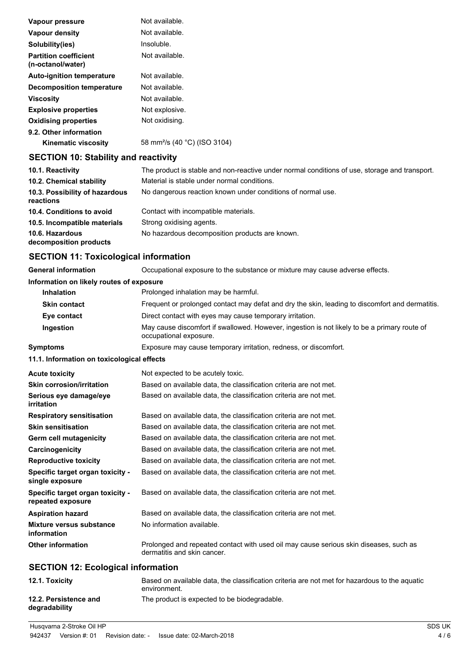| Vapour pressure                                   | Not available.                           |
|---------------------------------------------------|------------------------------------------|
| Vapour density                                    | Not available.                           |
| Solubility(ies)                                   | Insoluble.                               |
| <b>Partition coefficient</b><br>(n-octanol/water) | Not available.                           |
| <b>Auto-ignition temperature</b>                  | Not available.                           |
| <b>Decomposition temperature</b>                  | Not available.                           |
| Viscosity                                         | Not available.                           |
| <b>Explosive properties</b>                       | Not explosive.                           |
| <b>Oxidising properties</b>                       | Not oxidising.                           |
| 9.2. Other information                            |                                          |
| <b>Kinematic viscosity</b>                        | 58 mm <sup>2</sup> /s (40 °C) (ISO 3104) |

# **SECTION 10: Stability and reactivity**

| 10.1. Reactivity                            | The product is stable and non-reactive under normal conditions of use, storage and transport. |
|---------------------------------------------|-----------------------------------------------------------------------------------------------|
| 10.2. Chemical stability                    | Material is stable under normal conditions.                                                   |
| 10.3. Possibility of hazardous<br>reactions | No dangerous reaction known under conditions of normal use.                                   |
| 10.4. Conditions to avoid                   | Contact with incompatible materials.                                                          |
| 10.5. Incompatible materials                | Strong oxidising agents.                                                                      |
| 10.6. Hazardous<br>decomposition products   | No hazardous decomposition products are known.                                                |

# **SECTION 11: Toxicological information**

| <b>General information</b>                            | Occupational exposure to the substance or mixture may cause adverse effects.                                           |
|-------------------------------------------------------|------------------------------------------------------------------------------------------------------------------------|
| Information on likely routes of exposure              |                                                                                                                        |
| <b>Inhalation</b>                                     | Prolonged inhalation may be harmful.                                                                                   |
| <b>Skin contact</b>                                   | Frequent or prolonged contact may defat and dry the skin, leading to discomfort and dermatitis.                        |
| Eye contact                                           | Direct contact with eyes may cause temporary irritation.                                                               |
| Ingestion                                             | May cause discomfort if swallowed. However, ingestion is not likely to be a primary route of<br>occupational exposure. |
| <b>Symptoms</b>                                       | Exposure may cause temporary irritation, redness, or discomfort.                                                       |
| 11.1. Information on toxicological effects            |                                                                                                                        |
| <b>Acute toxicity</b>                                 | Not expected to be acutely toxic.                                                                                      |
| <b>Skin corrosion/irritation</b>                      | Based on available data, the classification criteria are not met.                                                      |
| Serious eye damage/eye<br>irritation                  | Based on available data, the classification criteria are not met.                                                      |
| <b>Respiratory sensitisation</b>                      | Based on available data, the classification criteria are not met.                                                      |
| <b>Skin sensitisation</b>                             | Based on available data, the classification criteria are not met.                                                      |
| <b>Germ cell mutagenicity</b>                         | Based on available data, the classification criteria are not met.                                                      |
| Carcinogenicity                                       | Based on available data, the classification criteria are not met.                                                      |
| <b>Reproductive toxicity</b>                          | Based on available data, the classification criteria are not met.                                                      |
| Specific target organ toxicity -<br>single exposure   | Based on available data, the classification criteria are not met.                                                      |
| Specific target organ toxicity -<br>repeated exposure | Based on available data, the classification criteria are not met.                                                      |
| <b>Aspiration hazard</b>                              | Based on available data, the classification criteria are not met.                                                      |
| <b>Mixture versus substance</b><br>information        | No information available.                                                                                              |
| <b>Other information</b>                              | Prolonged and repeated contact with used oil may cause serious skin diseases, such as<br>dermatitis and skin cancer.   |
| <b>SECTION 12: Ecological information</b>             |                                                                                                                        |

# **12.1. Toxicity** Based on available data, the classification criteria are not met for hazardous to the aquatic environment. **12.2. Persistence and** The product is expected to be biodegradable. **degradability**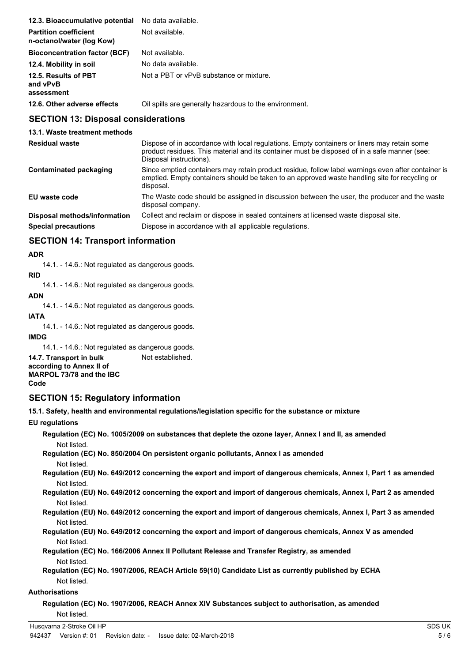| 12.3. Bioaccumulative potential                           | No data available.                                     |
|-----------------------------------------------------------|--------------------------------------------------------|
| <b>Partition coefficient</b><br>n-octanol/water (log Kow) | Not available.                                         |
| <b>Bioconcentration factor (BCF)</b>                      | Not available.                                         |
| 12.4. Mobility in soil                                    | No data available.                                     |
| 12.5. Results of PBT<br>and vPvB<br>assessment            | Not a PBT or vPvB substance or mixture.                |
| 12.6. Other adverse effects                               | Oil spills are generally hazardous to the environment. |

# **SECTION 13: Disposal considerations**

**13.1. Waste treatment methods**

| <b>Residual waste</b>         | Dispose of in accordance with local regulations. Empty containers or liners may retain some<br>product residues. This material and its container must be disposed of in a safe manner (see:<br>Disposal instructions). |
|-------------------------------|------------------------------------------------------------------------------------------------------------------------------------------------------------------------------------------------------------------------|
| <b>Contaminated packaging</b> | Since emptied containers may retain product residue, follow label warnings even after container is<br>emptied. Empty containers should be taken to an approved waste handling site for recycling or<br>disposal.       |
| EU waste code                 | The Waste code should be assigned in discussion between the user, the producer and the waste<br>disposal company.                                                                                                      |
| Disposal methods/information  | Collect and reclaim or dispose in sealed containers at licensed waste disposal site.                                                                                                                                   |
| <b>Special precautions</b>    | Dispose in accordance with all applicable regulations.                                                                                                                                                                 |

# **SECTION 14: Transport information**

### **ADR**

14.1. - 14.6.: Not regulated as dangerous goods.

#### **RID**

14.1. - 14.6.: Not regulated as dangerous goods.

#### **ADN**

14.1. - 14.6.: Not regulated as dangerous goods.

### **IATA**

14.1. - 14.6.: Not regulated as dangerous goods.

### **IMDG**

14.1. - 14.6.: Not regulated as dangerous goods.

**14.7. Transport in bulk** Not established. **according to Annex II of MARPOL 73/78 and the IBC Code**

# **SECTION 15: Regulatory information**

**15.1. Safety, health and environmental regulations/legislation specific for the substance or mixture**

### **EU regulations**

**Regulation (EC) No. 1005/2009 on substances that deplete the ozone layer, Annex I and II, as amended** Not listed.

**Regulation (EC) No. 850/2004 On persistent organic pollutants, Annex I as amended** Not listed.

**Regulation (EU) No. 649/2012 concerning the export and import of dangerous chemicals, Annex I, Part 1 as amended** Not listed.

**Regulation (EU) No. 649/2012 concerning the export and import of dangerous chemicals, Annex I, Part 2 as amended** Not listed.

**Regulation (EU) No. 649/2012 concerning the export and import of dangerous chemicals, Annex I, Part 3 as amended** Not listed.

**Regulation (EU) No. 649/2012 concerning the export and import of dangerous chemicals, Annex V as amended** Not listed.

**Regulation (EC) No. 166/2006 Annex II Pollutant Release and Transfer Registry, as amended** Not listed.

**Regulation (EC) No. 1907/2006, REACH Article 59(10) Candidate List as currently published by ECHA** Not listed.

### **Authorisations**

**Regulation (EC) No. 1907/2006, REACH Annex XIV Substances subject to authorisation, as amended** Not listed.